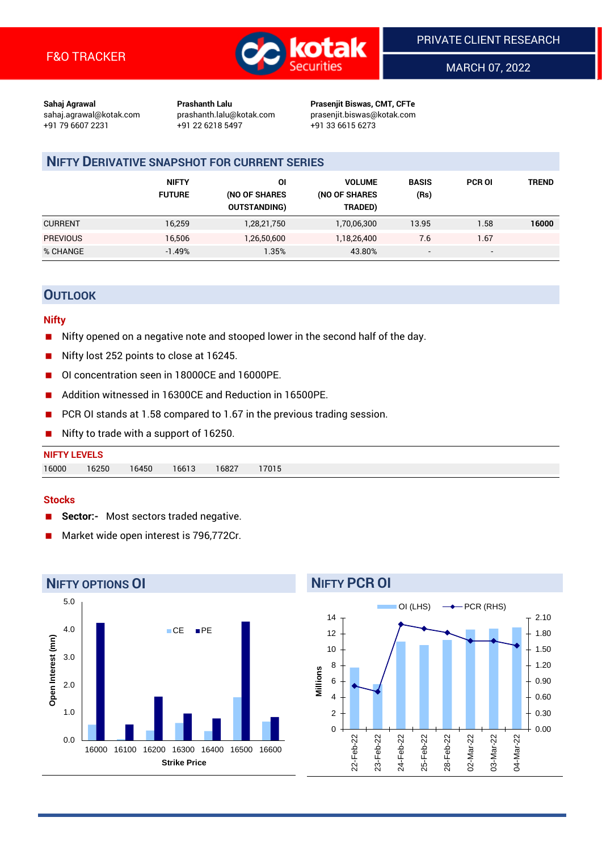

MARCH 07, 2022

**Sahaj Agrawal Prashanth Lalu Prasenjit Biswas, CMT, CFTe** +91 79 6607 2231 +91 22 6218 5497 +91 33 6615 6273

sahaj.agrawal@kotak.com [prashanth.lalu@kotak.com](mailto:prashanth.lalu@kotak.com) prasenjit.biswas@kotak.com

## **NIFTY DERIVATIVE SNAPSHOT FOR CURRENT SERIES**

|                 | <b>NIFTY</b><br><b>FUTURE</b> | 01<br>(NO OF SHARES<br><b>OUTSTANDING)</b> | <b>VOLUME</b><br>(NO OF SHARES<br>TRADED) | <b>BASIS</b><br>(Rs) | <b>PCR OI</b>            | <b>TREND</b> |
|-----------------|-------------------------------|--------------------------------------------|-------------------------------------------|----------------------|--------------------------|--------------|
| <b>CURRENT</b>  | 16,259                        | 1,28,21,750                                | 1,70,06,300                               | 13.95                | 1.58                     | 16000        |
| <b>PREVIOUS</b> | 16.506                        | 1,26,50,600                                | 1,18,26,400                               | 7.6                  | 1.67                     |              |
| % CHANGE        | $-1.49%$                      | .35%                                       | 43.80%                                    | -                    | $\overline{\phantom{a}}$ |              |

## **OUTLOOK**

#### **Nifty**

- Nifty opened on a negative note and stooped lower in the second half of the day.
- $\blacksquare$  Nifty lost 252 points to close at 16245.
- OI concentration seen in 18000CE and 16000PE.
- Addition witnessed in 16300CE and Reduction in 16500PE.
- PCR OI stands at 1.58 compared to 1.67 in the previous trading session.
- Nifty to trade with a support of 16250.

# **NIFTY LEVELS** 16000 16250 16450 16613 16827 17015

#### **Stocks**

- **Sector:-** Most sectors traded negative.
- Market wide open interest is 796,772Cr.



# **NIFTY PCR OI**

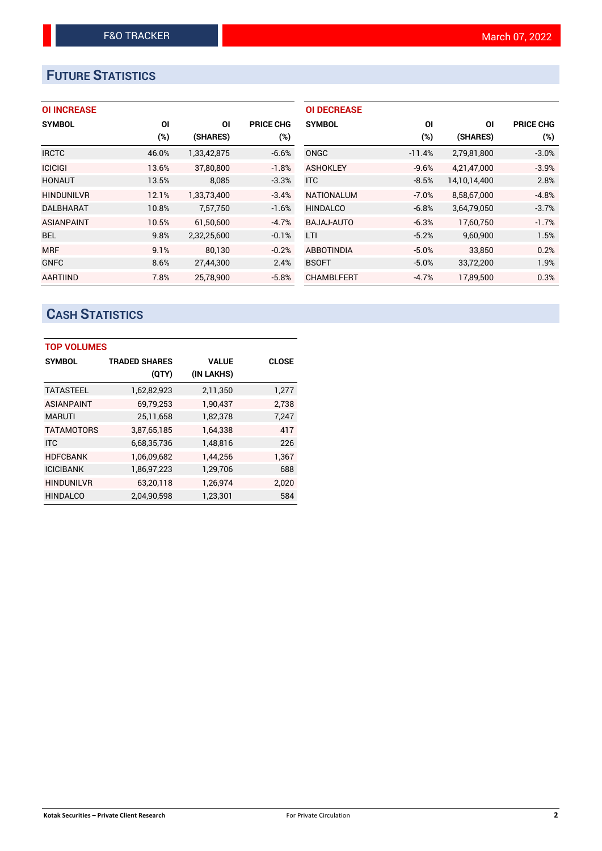# **FUTURE STATISTICS**

| <b>OI INCREASE</b> |
|--------------------|
|--------------------|

| <b>SYMBOL</b>     | <b>OI</b> | ΟI          | <b>PRICE CHG</b> |
|-------------------|-----------|-------------|------------------|
|                   | (%)       | (SHARES)    | $(\%)$           |
| <b>IRCTC</b>      | 46.0%     | 1,33,42,875 | $-6.6%$          |
| <b>ICICIGI</b>    | 13.6%     | 37,80,800   | $-1.8%$          |
| <b>HONAUT</b>     | 13.5%     | 8,085       | $-3.3%$          |
| <b>HINDUNILVR</b> | 12.1%     | 1.33.73.400 | $-3.4%$          |
| <b>DALBHARAT</b>  | 10.8%     | 7,57,750    | $-1.6%$          |
| <b>ASIANPAINT</b> | 10.5%     | 61.50.600   | $-4.7%$          |
| <b>BEL</b>        | 9.8%      | 2,32,25,600 | $-0.1%$          |
| <b>MRF</b>        | 9.1%      | 80,130      | $-0.2%$          |
| <b>GNFC</b>       | 8.6%      | 27,44,300   | 2.4%             |
| <b>AARTIIND</b>   | 7.8%      | 25,78,900   | $-5.8%$          |

| <b>OI DECREASE</b> |          |              |                  |
|--------------------|----------|--------------|------------------|
| <b>SYMBOL</b>      | ΟI       | ΟI           | <b>PRICE CHG</b> |
|                    | $(\%)$   | (SHARES)     | $(\%)$           |
| ONGC               | $-11.4%$ | 2,79,81,800  | $-3.0%$          |
| <b>ASHOKLEY</b>    | $-9.6%$  | 4,21,47,000  | $-3.9%$          |
| <b>ITC</b>         | $-8.5%$  | 14,10,14,400 | 2.8%             |
| <b>NATIONALUM</b>  | $-7.0%$  | 8,58,67,000  | $-4.8%$          |
| <b>HINDALCO</b>    | $-6.8%$  | 3,64,79,050  | $-3.7%$          |
| BAJAJ-AUTO         | $-6.3%$  | 17.60.750    | $-1.7%$          |
| LTI                | $-5.2%$  | 9,60,900     | 1.5%             |
| <b>ABBOTINDIA</b>  | $-5.0%$  | 33,850       | 0.2%             |
| <b>BSOFT</b>       | $-5.0%$  | 33,72,200    | 1.9%             |
| <b>CHAMBLFERT</b>  | $-4.7%$  | 17,89,500    | 0.3%             |

# **CASH STATISTICS**

| <b>TOP VOLUMES</b> |                      |              |              |  |  |  |  |
|--------------------|----------------------|--------------|--------------|--|--|--|--|
| <b>SYMBOL</b>      | <b>TRADED SHARES</b> | <b>VALUE</b> | <b>CLOSE</b> |  |  |  |  |
|                    | (QTY)                | (IN LAKHS)   |              |  |  |  |  |
| <b>TATASTEEL</b>   | 1,62,82,923          | 2,11,350     | 1,277        |  |  |  |  |
| <b>ASIANPAINT</b>  | 69,79,253            | 1,90,437     | 2.738        |  |  |  |  |
| <b>MARUTI</b>      | 25,11,658            | 1,82,378     | 7,247        |  |  |  |  |
| <b>TATAMOTORS</b>  | 3,87,65,185          | 1,64,338     | 417          |  |  |  |  |
| <b>ITC</b>         | 6,68,35,736          | 1,48,816     | 226          |  |  |  |  |
| <b>HDFCBANK</b>    | 1,06,09,682          | 1,44,256     | 1,367        |  |  |  |  |
| <b>ICICIBANK</b>   | 1,86,97,223          | 1,29,706     | 688          |  |  |  |  |
| <b>HINDUNILVR</b>  | 63,20,118            | 1,26,974     | 2,020        |  |  |  |  |
| <b>HINDALCO</b>    | 2,04,90,598          | 1,23,301     | 584          |  |  |  |  |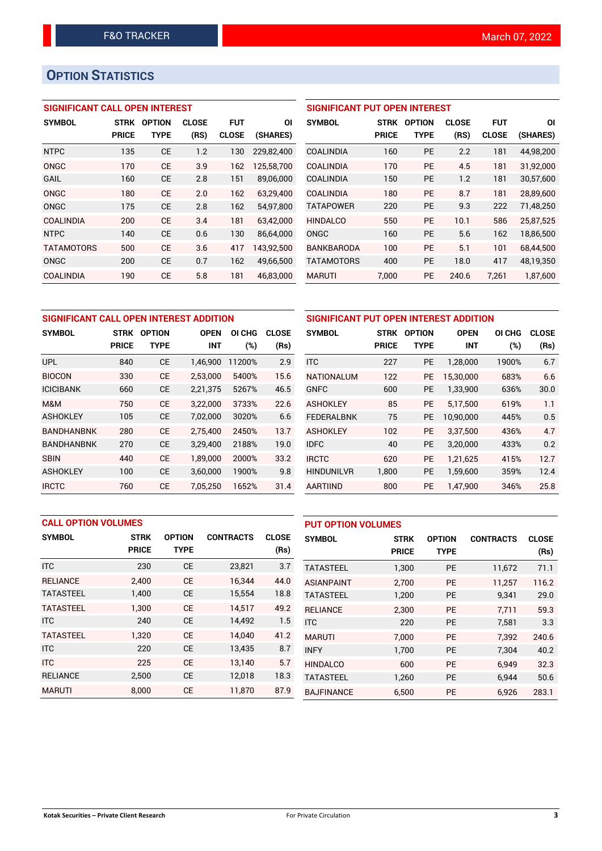# **OPTION STATISTICS**

## **SIGNIFICANT CALL OPEN INTEREST**

| <b>SYMBOL</b>     | <b>STRK</b>  | <b>OPTION</b> | <b>CLOSE</b> | <b>FUT</b>   | ΟI         |
|-------------------|--------------|---------------|--------------|--------------|------------|
|                   | <b>PRICE</b> | TYPE          | (RS)         | <b>CLOSE</b> | (SHARES)   |
| <b>NTPC</b>       | 135          | <b>CE</b>     | 1.2          | 130          | 229,82,400 |
| ONGC              | 170          | CE            | 3.9          | 162          | 125,58,700 |
| GAIL              | 160          | CE            | 2.8          | 151          | 89.06.000  |
| ONGC              | 180          | CE            | 2.0          | 162          | 63,29,400  |
| ONGC              | 175          | CE            | 2.8          | 162          | 54,97,800  |
| <b>COALINDIA</b>  | 200          | CE            | 3.4          | 181          | 63.42.000  |
| <b>NTPC</b>       | 140          | <b>CE</b>     | 0.6          | 130          | 86,64,000  |
| <b>TATAMOTORS</b> | 500          | CE            | 3.6          | 417          | 143,92,500 |
| ONGC              | 200          | <b>CE</b>     | 0.7          | 162          | 49,66,500  |
| COALINDIA         | 190          | CE            | 5.8          | 181          | 46.83.000  |

## **SIGNIFICANT PUT OPEN INTEREST**

| <b>SYMBOL</b>     | <b>STRK</b><br><b>PRICE</b> | <b>OPTION</b><br>TYPE | <b>CLOSE</b><br>(RS) | <b>FUT</b><br><b>CLOSE</b> | ΟI<br>(SHARES) |
|-------------------|-----------------------------|-----------------------|----------------------|----------------------------|----------------|
| COALINDIA         | 160                         | PF                    | 2.2                  | 181                        | 44,98,200      |
| COALINDIA         | 170                         | PF                    | 4.5                  | 181                        | 31,92,000      |
| <b>COALINDIA</b>  | 150                         | PF                    | 1.2                  | 181                        | 30,57,600      |
| <b>COALINDIA</b>  | 180                         | PF                    | 8.7                  | 181                        | 28.89.600      |
| <b>TATAPOWER</b>  | 220                         | PF                    | 9.3                  | 222                        | 71,48,250      |
| <b>HINDALCO</b>   | 550                         | PF                    | 10.1                 | 586                        | 25,87,525      |
| ONGC              | 160                         | <b>PE</b>             | 5.6                  | 162                        | 18,86,500      |
| <b>BANKBARODA</b> | 100                         | <b>PE</b>             | 5.1                  | 101                        | 68,44,500      |
| <b>TATAMOTORS</b> | 400                         | <b>PE</b>             | 18.0                 | 417                        | 48.19.350      |
| <b>MARUTI</b>     | 7.000                       | PE                    | 240.6                | 7,261                      | 1,87,600       |

| SIGNIFICANT CALL OPEN INTEREST ADDITION |                             |                              |                           |               |                      |  |
|-----------------------------------------|-----------------------------|------------------------------|---------------------------|---------------|----------------------|--|
| <b>SYMBOL</b>                           | <b>STRK</b><br><b>PRICE</b> | <b>OPTION</b><br><b>TYPE</b> | <b>OPEN</b><br><b>INT</b> | OI CHG<br>(%) | <b>CLOSE</b><br>(Rs) |  |
| <b>UPL</b>                              | 840                         | <b>CE</b>                    | 1,46,900                  | 11200%        | 2.9                  |  |
| <b>BIOCON</b>                           | 330                         | <b>CE</b>                    | 2,53,000                  | 5400%         | 15.6                 |  |
| <b>ICICIBANK</b>                        | 660                         | <b>CE</b>                    | 2,21,375                  | 5267%         | 46.5                 |  |
| M&M                                     | 750                         | <b>CE</b>                    | 3,22,000                  | 3733%         | 22.6                 |  |
| <b>ASHOKLEY</b>                         | 105                         | <b>CE</b>                    | 7,02,000                  | 3020%         | 6.6                  |  |
| <b>BANDHANBNK</b>                       | 280                         | <b>CE</b>                    | 2,75,400                  | 2450%         | 13.7                 |  |
| <b>BANDHANBNK</b>                       | 270                         | <b>CE</b>                    | 3,29,400                  | 2188%         | 19.0                 |  |
| <b>SBIN</b>                             | 440                         | <b>CE</b>                    | 1,89,000                  | 2000%         | 33.2                 |  |
| <b>ASHOKLEY</b>                         | 100                         | <b>CE</b>                    | 3,60,000                  | 1900%         | 9.8                  |  |
| <b>IRCTC</b>                            | 760                         | <b>CE</b>                    | 7,05,250                  | 1652%         | 31.4                 |  |

| SIGNIFICANT PUT OPEN INTEREST ADDITION |              |               |             |        |              |  |  |  |
|----------------------------------------|--------------|---------------|-------------|--------|--------------|--|--|--|
| <b>SYMBOL</b>                          | <b>STRK</b>  | <b>OPTION</b> | <b>OPEN</b> | OI CHG | <b>CLOSE</b> |  |  |  |
|                                        | <b>PRICE</b> | <b>TYPE</b>   | <b>INT</b>  | (%)    | (Rs)         |  |  |  |
| <b>ITC</b>                             | 227          | <b>PE</b>     | 1,28,000    | 1900%  | 6.7          |  |  |  |
| NATIONALUM                             | 122          | <b>PE</b>     | 15,30,000   | 683%   | 6.6          |  |  |  |
| <b>GNFC</b>                            | 600          | <b>PE</b>     | 1,33,900    | 636%   | 30.0         |  |  |  |
| <b>ASHOKLEY</b>                        | 85           | <b>PE</b>     | 5,17,500    | 619%   | 1.1          |  |  |  |
| <b>FEDERALBNK</b>                      | 75           | <b>PE</b>     | 10,90,000   | 445%   | 0.5          |  |  |  |
| <b>ASHOKLEY</b>                        | 102          | <b>PE</b>     | 3,37,500    | 436%   | 4.7          |  |  |  |
| <b>IDFC</b>                            | 40           | <b>PE</b>     | 3,20,000    | 433%   | 0.2          |  |  |  |
| <b>IRCTC</b>                           | 620          | <b>PE</b>     | 1,21,625    | 415%   | 12.7         |  |  |  |
| <b>HINDUNILVR</b>                      | 1,800        | <b>PE</b>     | 1,59,600    | 359%   | 12.4         |  |  |  |
| <b>AARTIIND</b>                        | 800          | <b>PE</b>     | 1,47,900    | 346%   | 25.8         |  |  |  |

| <b>CALL OPTION VOLUMES</b> |              |               |                  | <b>PUT OPTION VOLUMES</b> |                   |              |               |                  |              |
|----------------------------|--------------|---------------|------------------|---------------------------|-------------------|--------------|---------------|------------------|--------------|
| <b>SYMBOL</b>              | <b>STRK</b>  | <b>OPTION</b> | <b>CONTRACTS</b> | <b>CLOSE</b>              | <b>SYMBOL</b>     | <b>STRK</b>  | <b>OPTION</b> | <b>CONTRACTS</b> | <b>CLOSE</b> |
|                            | <b>PRICE</b> | <b>TYPE</b>   |                  | (Rs)                      |                   | <b>PRICE</b> | <b>TYPE</b>   |                  | (Rs)         |
| <b>ITC</b>                 | 230          | <b>CE</b>     | 23,821           | 3.7                       | <b>TATASTEEL</b>  | 1,300        | <b>PE</b>     | 11,672           | 71.1         |
| <b>RELIANCE</b>            | 2.400        | <b>CE</b>     | 16.344           | 44.0                      | <b>ASIANPAINT</b> | 2,700        | <b>PE</b>     | 11.257           | 116.2        |
| <b>TATASTEEL</b>           | 1,400        | <b>CE</b>     | 15,554           | 18.8                      | <b>TATASTEEL</b>  | 1,200        | <b>PE</b>     | 9.341            | 29.0         |
| <b>TATASTEEL</b>           | 1.300        | <b>CE</b>     | 14,517           | 49.2                      | <b>RELIANCE</b>   | 2.300        | <b>PE</b>     | 7.711            | 59.3         |
| <b>ITC</b>                 | 240          | <b>CE</b>     | 14,492           | 1.5                       | <b>ITC</b>        | 220          | <b>PE</b>     | 7,581            | 3.3          |
| <b>TATASTEEL</b>           | 1,320        | <b>CE</b>     | 14.040           | 41.2                      | <b>MARUTI</b>     | 7.000        | <b>PE</b>     | 7.392            | 240.6        |
| <b>ITC</b>                 | 220          | <b>CE</b>     | 13,435           | 8.7                       | <b>INFY</b>       | 1,700        | <b>PE</b>     | 7,304            | 40.2         |
| <b>ITC</b>                 | 225          | <b>CE</b>     | 13.140           | 5.7                       | <b>HINDALCO</b>   | 600          | <b>PE</b>     | 6.949            | 32.3         |
| <b>RELIANCE</b>            | 2,500        | <b>CE</b>     | 12,018           | 18.3                      | <b>TATASTEEL</b>  | 1,260        | <b>PE</b>     | 6.944            | 50.6         |
| <b>MARUTI</b>              | 8.000        | <b>CE</b>     | 11,870           | 87.9                      | <b>BAJFINANCE</b> | 6,500        | PE            | 6,926            | 283.1        |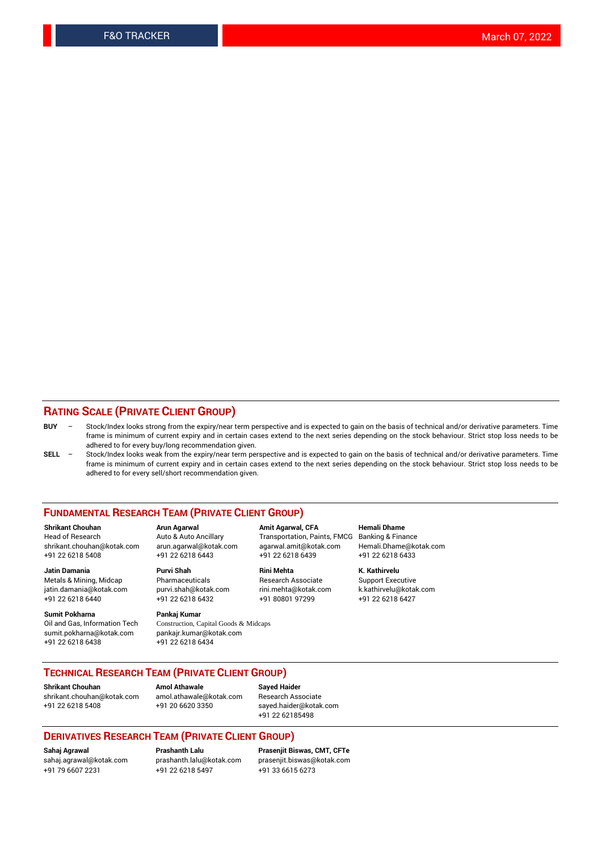### **RATING SCALE (PRIVATE CLIENT GROUP)**

- **BUY**  Stock/Index looks strong from the expiry/near term perspective and is expected to gain on the basis of technical and/or derivative parameters. Time frame is minimum of current expiry and in certain cases extend to the next series depending on the stock behaviour. Strict stop loss needs to be adhered to for every buy/long recommendation given.
- **SELL** Stock/Index looks weak from the expiry/near term perspective and is expected to gain on the basis of technical and/or derivative parameters. Time frame is minimum of current expiry and in certain cases extend to the next series depending on the stock behaviour. Strict stop loss needs to be adhered to for every sell/short recommendation given.

#### **FUNDAMENTAL RESEARCH TEAM (PRIVATE CLIENT GROUP)**

**Shrikant Chouhan Arun Agarwal Amit Agarwal, CFA Hemali Dhame** shrikant.chouhan@kotak.com arun.agarwal@kotak.com agarwal.amit@kotak.com Hemali.Dhame@kotak.com +91 22 6218 5408 +91 22 6218 6443 +91 22 6218 6439 +91 22 6218 6433

jatin.damania@kotak.com +91 22 6218 6440 +91 22 6218 6432 +91 80801 97299 +91 22 6218 6427

**Sumit Pokharna** Pankaj Kumar<br>Oil and Gas, Information Tech Construction, C sumit.pokharna@kotak.com pankajr.kumar@kotak.com +91 22 6218 6438 +91 22 6218 6434

**Jatin Damania Purvi Shah Rini Mehta K. Kathirvelu**

Construction, Capital Goods & Midcaps

Transportation, Paints, FMCG

Metals & Mining, Midcap Pharmaceuticals Pharmaceuticals Research Associate Support Executive<br>
iatin.damania@kotak.com purvi.shah@kotak.com rini.mehta@kotak.com k.kathirvelu@kotak.com

## **TECHNICAL RESEARCH TEAM (PRIVATE CLIENT GROUP)**

**Shrikant Chouhan Amol Athawale Sayed Haider** [shrikant.chouhan@kotak.com](mailto:shrikant.chouhan@kotak.com) [amol.athawale@kotak.com](mailto:amol.athawale@kotak.com) Research Associate +91 22 6218 5408 +91 20 6620 3350 [sayed.haider@kotak.com](mailto:sayed.haider@kotak.com)

+91 22 62185498

#### **DERIVATIVES RESEARCH TEAM (PRIVATE CLIENT GROUP)**

+91 79 6607 2231 +91 22 6218 5497 +91 33 6615 6273

**Sahaj Agrawal Prashanth Lalu Prasenjit Biswas, CMT, CFTe** [prasenjit.biswas@kotak.com](mailto:prasenjit.biswas@kotak.com)